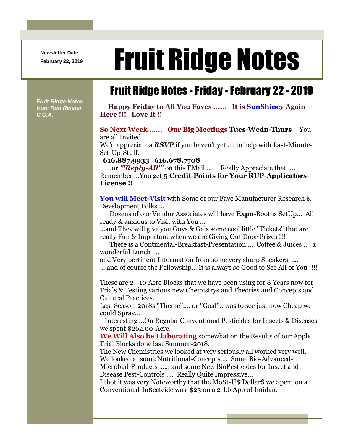**Newsletter Date**

## **Fruit Ridge Notes**

## Fruit Ridge Notes -Friday -February 22 - 2019

*Fruit Ridge Notes from Ron Reister C.C.A.*

**Happy Friday to All You Faves ...... It is SunShiney Again Here !!! Love It !!**

## **So Next Week ...... Our Big Meetings Tues-Wedn-Thurs**---You are all Invited....

We'd appreciate a *RSVP* if you haven't yet .... to help with Last-Minute-Set-Up-Stuff.

**616.887.9933 616.678.7708**

...or *'''Reply-All'''* on this EMail..... Really Appreciate that .... Remember ...You get **5 Credit-Points for Your RUP-Applicators-License !!**

**You will Meet-Visit** with Some of our Fave Manufacturer Research & Development Folks....

Dozens of our Vendor Associates will have **Expo**-Booths SetUp... All ready & anxious to Visit with You ...

...and They will give you Guys & Gals some cool little ''Tickets'' that are really Fun & Important when we are Giving Out Door Prizes !!!

There is a Continental-Breakfast-Presentation.... Coffee & Juices ... a wonderful Lunch ....

and Very pertinent Information from some very sharp Speakers ....

...and of course the Fellowship... It is always so Good to See All of You !!!!

These are 2 - 10 Acre Blocks that we have been using for 8 Years now for Trials & Testing various new Chemistrys and Theories and Concepts and Cultural Practices.

Last Season-2018s ''Theme''.... or ''Goal''...was to see just how Cheap we could Spray....

Interesting ...On Regular Conventional Pesticides for Insects & Diseases we spent \$262.00-Acre.

**We Will Also be Elaborating** somewhat on the Results of our Apple Trial Blocks done last Summer-2018.

The New Chemistries we looked at very seriously all worked very well. We looked at some Nutritional-Concepts.... Some Bio-Advanced-Microbial-Products ..... and some New BioPesticides for Insect and Disease Pest-Controls .... Really Quite Impressive...

I thot it was very Noteworthy that the Mo\$t-U\$ DollarS we \$pent on a Conventional-In\$ectcide was \$23 on a 2-Lb.App of Imidan.